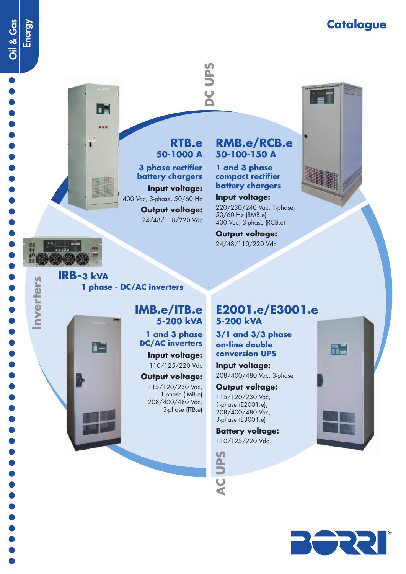## **Catalogue**

**Inverters**

nverter

 $\overline{u}$ 

Oil & Gas

# **DC UPS**

#### **RTB.e 50-1000 A**

**3 phase rectifier battery chargers Input voltage:**  400 Vac, 3-phase, 50/60 Hz **Output voltage:** 24/48/110/220 Vdc

#### **IRB-3 kVA 1 phase - DC/AC inverters**

P E

١Ē

**BBB** 

#### **IMB.e/ITB.e 5-200 kVA**

**1 and 3 phase DC/AC inverters** 

> **Input voltage:**  110/125/220 Vdc

#### **Output voltage:**

115/120/230 Vac, 1-phase (IMB.e) 208/400/480 Vac, 3-phase (ITB.e)

#### **RMB.e/RCB.e 50-100-150 A**

**1 and 3 phase compact rectifier battery chargers**

#### **Input voltage:**

220/230/240 Vac, 1-phase, 50/60 Hz (RMB.e) 400 Vac, 3-phase (RCB.e)

**Output voltage:** 24/48/110/220 Vdc

#### **E2001.e/E3001.e 5-200 kVA**

**3/1 and 3/3 phase on-line double conversion UPS** 

**Input voltage:** 208/400/480 Vac, 3-phase

#### **Output voltage:**

115/120/230 Vac, 1-phase (E2001.e), 208/400/480 Vac, 3-phase (E3001.e)

**Battery voltage:**  110/125/220 Vdc

**AC UPS**



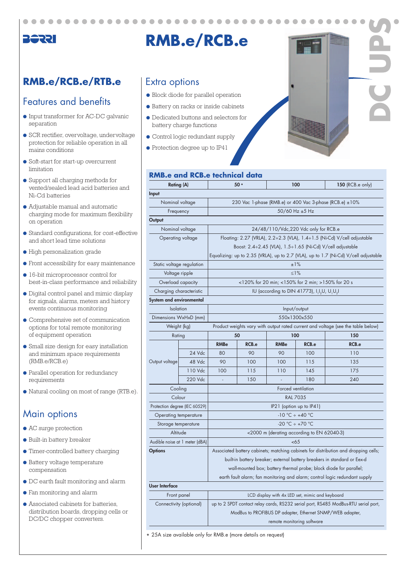#### **Bessi**

### **RMB.e/RCB.e/RTB.e** | Extra options

#### Features and benefits

- Input transformer for AC-DC galvanic separation
- SCR rectifier, overvoltage, undervoltage protection for reliable operation in all mains conditions
- Soft-start for start-up overcurrent limitation
- Support all charging methods for vented/sealed lead acid batteries and Ni-Cd batteries
- Adjustable manual and automatic charging mode for maximum flexibility on operation
- Standard configurations, for cost-effective and short lead time solutions
- High personalization grade
- Front accessibility for easy maintenance
- 16-bit microprocessor control for best-in-class performance and reliability
- Digital control panel and mimic display for signals, alarms, meters and history events continuous monitoring
- Comprehensive set of communication options for total remote monitoring of equipment operation
- Small size design for easy installation and minimum space requirements (RMB.e/RCB.e)
- Parallel operation for redundancy requirements
- Natural cooling on most of range (RTB.e).

#### Main options

- AC surge protection
- Built-in battery breaker
- Timer-controlled battery charging
- Battery voltage temperature compensation
- DC earth fault monitoring and alarm
- Fan monitoring and alarm
- Associated cabinets for batteries, distribution boards, dropping cells or DC/DC chopper converters.

- Block diode for parallel operation
- Battery on racks or inside cabinets

**RMB.e/RCB.e**

- Dedicated buttons and selectors for battery charge functions
- Control logic redundant supply
- Protection degree up to IP41



| <b>Rating (A)</b>              |         |                                                                                     | $50*$ |             | 100                                                | <b>150 (RCB.e only)</b>                                   |  |  |  |  |  |  |
|--------------------------------|---------|-------------------------------------------------------------------------------------|-------|-------------|----------------------------------------------------|-----------------------------------------------------------|--|--|--|--|--|--|
| Input                          |         |                                                                                     |       |             |                                                    |                                                           |  |  |  |  |  |  |
| Nominal voltage                |         |                                                                                     |       |             |                                                    | 230 Vac 1-phase (RMB.e) or 400 Vac 3-phase (RCB.e) ±10%   |  |  |  |  |  |  |
| Frequency                      |         |                                                                                     |       |             | 50/60 Hz ±5 Hz                                     |                                                           |  |  |  |  |  |  |
| Output                         |         |                                                                                     |       |             |                                                    |                                                           |  |  |  |  |  |  |
| Nominal voltage                |         |                                                                                     |       |             | 24/48/110/Vdc, 220 Vdc only for RCB.e              |                                                           |  |  |  |  |  |  |
| Operating voltage              |         | Floating: 2.27 (VRLA), 2.2÷2.3 (VLA), 1.4÷1.5 (Ni-Cd) V/cell adjustable             |       |             |                                                    |                                                           |  |  |  |  |  |  |
|                                |         | Boost: 2.4÷2.45 (VLA), 1.5÷1.65 (Ni-Cd) V/cell adjustable                           |       |             |                                                    |                                                           |  |  |  |  |  |  |
|                                |         | Equalizing: up to 2.35 (VRLA), up to 2.7 (VLA), up to 1.7 (Ni-Cd) V/cell adjustable |       |             |                                                    |                                                           |  |  |  |  |  |  |
| Static voltage regulation      |         |                                                                                     |       |             | ±1%                                                |                                                           |  |  |  |  |  |  |
| Voltage ripple                 |         |                                                                                     |       |             | $\leq$ 1%                                          |                                                           |  |  |  |  |  |  |
| Overload capacity              |         |                                                                                     |       |             | <120% for 20 min; <150% for 2 min; >150% for 20 s  |                                                           |  |  |  |  |  |  |
| Charging characteristic        |         |                                                                                     |       |             | IU (according to DIN 41773), $I_1I_2U$ , $U_1U_2I$ |                                                           |  |  |  |  |  |  |
| System and environmental       |         |                                                                                     |       |             |                                                    |                                                           |  |  |  |  |  |  |
| Isolation                      |         |                                                                                     |       |             | Input/output                                       |                                                           |  |  |  |  |  |  |
| Dimensions WxHxD (mm)          |         |                                                                                     |       |             | 550x1300x550                                       |                                                           |  |  |  |  |  |  |
| Weight (kg)                    |         | Product weights vary with output rated current and voltage (see the table below)    |       |             |                                                    |                                                           |  |  |  |  |  |  |
| Rating                         |         |                                                                                     | 50    |             | 100                                                | 150                                                       |  |  |  |  |  |  |
|                                |         | <b>RMBe</b>                                                                         | RCB.e | <b>RMBe</b> | RCB.e                                              | RCB.e                                                     |  |  |  |  |  |  |
|                                | 24 Vdc  | 80                                                                                  | 90    | 90          | 100                                                | 110                                                       |  |  |  |  |  |  |
| Output voltage                 | 48 Vdc  | 90                                                                                  | 100   | 100         | 115                                                | 135                                                       |  |  |  |  |  |  |
|                                | 110 Vdc | 100                                                                                 | 115   | 110         | 145                                                | 175                                                       |  |  |  |  |  |  |
|                                | 220 Vdc |                                                                                     | 150   |             | 180<br>240                                         |                                                           |  |  |  |  |  |  |
| Cooling                        |         |                                                                                     |       |             | Forced ventilation                                 |                                                           |  |  |  |  |  |  |
| Colour                         |         | <b>RAL 7035</b>                                                                     |       |             |                                                    |                                                           |  |  |  |  |  |  |
| Protection degree (IEC 60529)  |         | IP21 (option up to IP41)                                                            |       |             |                                                    |                                                           |  |  |  |  |  |  |
| Operating temperature          |         | $-10 °C \div +40 °C$                                                                |       |             |                                                    |                                                           |  |  |  |  |  |  |
| Storage temperature            |         |                                                                                     |       |             | -20 °C $\div$ +70 °C                               |                                                           |  |  |  |  |  |  |
| Altitude                       |         | <2000 m (derating according to EN 62040-3)                                          |       |             |                                                    |                                                           |  |  |  |  |  |  |
| Audible noise at 1 meter (dBA) |         |                                                                                     |       |             | <65                                                |                                                           |  |  |  |  |  |  |
| <b>Options</b>                 |         | Associated battery cabinets; matching cabinets for distribution and dropping cells; |       |             |                                                    |                                                           |  |  |  |  |  |  |
|                                |         | built-in battery breaker; external battery breakers in standard or Eex-d            |       |             |                                                    |                                                           |  |  |  |  |  |  |
|                                |         | wall-mounted box; battery thermal probe; block diode for parallel;                  |       |             |                                                    |                                                           |  |  |  |  |  |  |
|                                |         | earth fault alarm; fan monitoring and alarm; control logic redundant supply         |       |             |                                                    |                                                           |  |  |  |  |  |  |
| <b>User Interface</b>          |         |                                                                                     |       |             |                                                    |                                                           |  |  |  |  |  |  |
| Front panel                    |         | LCD display with 4x LED set, mimic and keyboard                                     |       |             |                                                    |                                                           |  |  |  |  |  |  |
| Connectivity (optional)        |         | up to 2 SPDT contact relay cards, RS232 serial port, RS485 ModBus-RTU serial port,  |       |             |                                                    |                                                           |  |  |  |  |  |  |
|                                |         |                                                                                     |       |             |                                                    | ModBus to PROFIBUS DP adapter, Ethernet SNMP/WEB adapter, |  |  |  |  |  |  |
|                                |         |                                                                                     |       |             | remote monitoring software                         |                                                           |  |  |  |  |  |  |

\* 25A size available only for RMB.e (more details on request)

# **RMB.e and RCB.e technical data**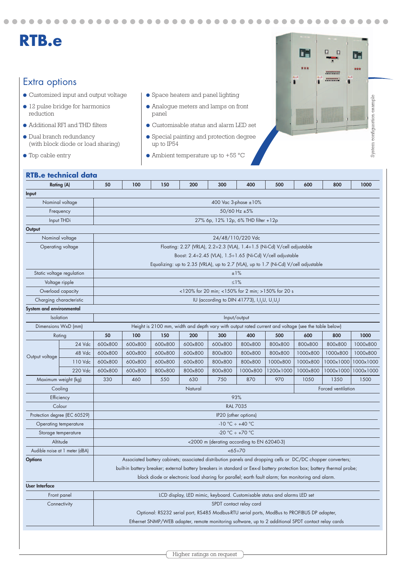# **RTB.e**

#### Extra options

● Customized input and output voltage

....

● 12 pulse bridge for harmonics reduction

 $\blacksquare$ 

 $\bullet$ 

- Additional RFI and THD filters
- Dual branch redundancy (with block diode or load sharing)
- Top cable entry
- Space heaters and panel lighting
- Analogue meters and lamps on front panel
- Customisable status and alarm LED set

◠  $\triangle$  . . . . . . .

 $\qquad \qquad \blacksquare$ 

 $\bullet$ 

- Special painting and protection degree up to IP54
- $\bullet$  Ambient temperature up to +55 °C

| Œ                    | O<br>$\overline{a}$ | ίĦ       |                              |
|----------------------|---------------------|----------|------------------------------|
| RRR<br>$\frac{1}{2}$ | <br>e               | 股份数<br>щ |                              |
|                      |                     | ı        |                              |
|                      |                     |          | System configuration example |
|                      |                     |          |                              |
|                      |                     |          |                              |
|                      |                     |          |                              |

.........

 $\bullet$ 

#### **RTB.e technical data**

|                           | <b>Rating (A)</b>              | 50                                                                                  | 100       | 150     | 200     | 300                                                  | 400               | 500                                                                                                                     | 600      | 800       | 1000                |  |  |  |  |  |
|---------------------------|--------------------------------|-------------------------------------------------------------------------------------|-----------|---------|---------|------------------------------------------------------|-------------------|-------------------------------------------------------------------------------------------------------------------------|----------|-----------|---------------------|--|--|--|--|--|
| Input                     |                                |                                                                                     |           |         |         |                                                      |                   |                                                                                                                         |          |           |                     |  |  |  |  |  |
|                           | Nominal voltage                |                                                                                     |           |         |         | 400 Vac 3-phase ±10%                                 |                   |                                                                                                                         |          |           |                     |  |  |  |  |  |
|                           | Frequency                      |                                                                                     |           |         |         |                                                      | 50/60 Hz ±5%      |                                                                                                                         |          |           |                     |  |  |  |  |  |
|                           | Input THDi                     |                                                                                     |           |         |         | 27% 6p, 12% 12p, 6% THD filter +12p                  |                   |                                                                                                                         |          |           |                     |  |  |  |  |  |
| Output                    |                                |                                                                                     |           |         |         |                                                      |                   |                                                                                                                         |          |           |                     |  |  |  |  |  |
| Nominal voltage           |                                |                                                                                     |           |         |         |                                                      | 24/48/110/220 Vdc |                                                                                                                         |          |           |                     |  |  |  |  |  |
| Operating voltage         |                                | Floating: 2.27 (VRLA), 2.2÷2.3 (VLA), 1.4÷1.5 (Ni-Cd) V/cell adjustable             |           |         |         |                                                      |                   |                                                                                                                         |          |           |                     |  |  |  |  |  |
|                           |                                | Boost: 2.4÷2.45 (VLA), 1.5÷1.65 (Ni-Cd) V/cell adjustable                           |           |         |         |                                                      |                   |                                                                                                                         |          |           |                     |  |  |  |  |  |
|                           |                                | Equalizing: up to 2.35 (VRLA), up to 2.7 (VLA), up to 1.7 (Ni-Cd) V/cell adjustable |           |         |         |                                                      |                   |                                                                                                                         |          |           |                     |  |  |  |  |  |
| Static voltage regulation |                                | ±1%                                                                                 |           |         |         |                                                      |                   |                                                                                                                         |          |           |                     |  |  |  |  |  |
| Voltage ripple            |                                |                                                                                     | $\leq$ 1% |         |         |                                                      |                   |                                                                                                                         |          |           |                     |  |  |  |  |  |
| Overload capacity         |                                |                                                                                     |           |         |         |                                                      |                   | <120% for 20 min; <150% for 2 min; >150% for 20 s                                                                       |          |           |                     |  |  |  |  |  |
| Charging characteristic   |                                |                                                                                     |           |         |         | IU (according to DIN 41773), $I_1I_2U$ , $U_1U_2I_3$ |                   |                                                                                                                         |          |           |                     |  |  |  |  |  |
| System and environmental  |                                |                                                                                     |           |         |         |                                                      |                   |                                                                                                                         |          |           |                     |  |  |  |  |  |
| <b>Isolation</b>          |                                |                                                                                     |           |         |         |                                                      | Input/output      |                                                                                                                         |          |           |                     |  |  |  |  |  |
| Dimensions WxD (mm)       |                                |                                                                                     |           |         |         |                                                      |                   | Height is 2100 mm, width and depth vary with output rated current and voltage (see the table below)                     |          |           |                     |  |  |  |  |  |
|                           | Rating                         | 50                                                                                  | 100       | 150     | 200     | 300                                                  | 400               | 500                                                                                                                     | 600      | 800       | 1000                |  |  |  |  |  |
|                           | 24 Vdc                         | 600x800                                                                             | 600x800   | 600x800 | 600x800 | 600x800                                              | 800×800           | 800×800                                                                                                                 | 800×800  | 800×800   | 1000x800            |  |  |  |  |  |
| Output voltage            | 48 Vdc                         | 600x800                                                                             | 600x800   | 600x800 | 600x800 | 800×800                                              | 800×800           | 800×800                                                                                                                 | 1000x800 | 1000x800  | 1000x800            |  |  |  |  |  |
|                           | 110 Vdc                        | 600x800                                                                             | 600x800   | 600x800 | 600x800 | 800×800                                              | 800×800           | 1000x800                                                                                                                | 1000x800 | 1000x1000 | 1000x1000           |  |  |  |  |  |
|                           | 220 Vdc                        | 600x800                                                                             | 600x800   | 800×800 | 800×800 | 800×800                                              | 1000x800          | 1200x1000                                                                                                               | 1000x800 |           | 1000x1000 1000x1000 |  |  |  |  |  |
| Maximum weight (kg)       |                                | 330                                                                                 | 460       | 550     | 630     | 750                                                  | 870               | 970                                                                                                                     | 1050     | 1350      | 1500                |  |  |  |  |  |
|                           | Cooling                        | Natural<br>Forced ventilation                                                       |           |         |         |                                                      |                   |                                                                                                                         |          |           |                     |  |  |  |  |  |
|                           | Efficiency                     | 93%                                                                                 |           |         |         |                                                      |                   |                                                                                                                         |          |           |                     |  |  |  |  |  |
|                           | Colour                         | <b>RAL 7035</b>                                                                     |           |         |         |                                                      |                   |                                                                                                                         |          |           |                     |  |  |  |  |  |
|                           | Protection degree (IEC 60529)  | IP20 (other options)                                                                |           |         |         |                                                      |                   |                                                                                                                         |          |           |                     |  |  |  |  |  |
|                           | Operating temperature          | $-10 °C \div +40 °C$                                                                |           |         |         |                                                      |                   |                                                                                                                         |          |           |                     |  |  |  |  |  |
|                           | Storage temperature            | -20 °C $\div$ +70 °C                                                                |           |         |         |                                                      |                   |                                                                                                                         |          |           |                     |  |  |  |  |  |
|                           | Altitude                       |                                                                                     |           |         |         | <2000 m (derating according to EN 62040-3)           |                   |                                                                                                                         |          |           |                     |  |  |  |  |  |
|                           | Audible noise at 1 meter (dBA) | $<65 \div 70$                                                                       |           |         |         |                                                      |                   |                                                                                                                         |          |           |                     |  |  |  |  |  |
| <b>Options</b>            |                                |                                                                                     |           |         |         |                                                      |                   | Associated battery cabinets; associated distribution panels and dropping cells or DC/DC chopper converters;             |          |           |                     |  |  |  |  |  |
|                           |                                |                                                                                     |           |         |         |                                                      |                   | built-in battery breaker; external battery breakers in standard or Eex-d battery protection box; battery thermal probe; |          |           |                     |  |  |  |  |  |
|                           |                                |                                                                                     |           |         |         |                                                      |                   | block diode or electronic load sharing for parallel; earth fault alarm; fan monitoring and alarm.                       |          |           |                     |  |  |  |  |  |
| User Interface            |                                |                                                                                     |           |         |         |                                                      |                   |                                                                                                                         |          |           |                     |  |  |  |  |  |
|                           | Front panel                    | LCD display, LED mimic, keyboard. Customisable status and alarms LED set            |           |         |         |                                                      |                   |                                                                                                                         |          |           |                     |  |  |  |  |  |
|                           | Connectivity                   | SPDT contact relay card                                                             |           |         |         |                                                      |                   |                                                                                                                         |          |           |                     |  |  |  |  |  |
|                           |                                |                                                                                     |           |         |         |                                                      |                   | Optional: RS232 serial port, RS485 Modbus-RTU serial ports, ModBus to PROFIBUS DP adapter,                              |          |           |                     |  |  |  |  |  |
|                           |                                |                                                                                     |           |         |         |                                                      |                   | Ethernet SNMP/WEB adapter, remote monitoring software, up to 2 additional SPDT contact relay cards                      |          |           |                     |  |  |  |  |  |
|                           |                                |                                                                                     |           |         |         |                                                      |                   |                                                                                                                         |          |           |                     |  |  |  |  |  |
|                           |                                |                                                                                     |           |         |         |                                                      |                   |                                                                                                                         |          |           |                     |  |  |  |  |  |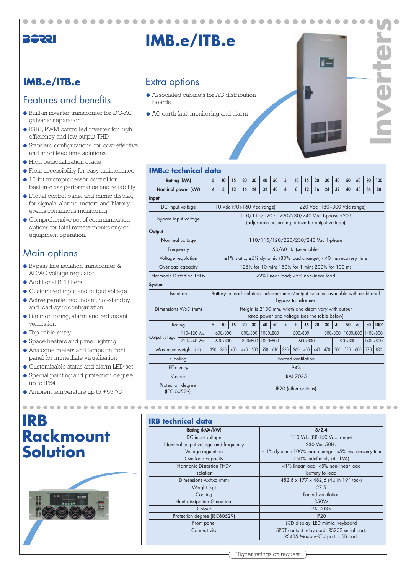#### **Berei**

# **IMB.e/ITB.e**

## **IMB.e/ITB.e**

#### Features and benefits

- Built-in inverter transformer for DC-AC galvanic separation
- IGBT, PWM controlled inverter for high efficiency and low output THD
- Standard configurations, for cost-effective and short lead time solutions
- High personalization grade
- Front accessibility for easy maintenance
- 16-bit microprocessor control for best-in-class performance and reliability
- Digital control panel and mimic display, for signals, alarms, meters and history events continuous monitoring
- Comprehensive set of communication options for total remote monitoring of equipment operation.

#### Main options

- Bypass line isolation transformer & AC/AC voltage regulator
- Additional RFI filters
- Customized input and output voltage
- Active parallel redundant, hot-standby and load-sync configuration
- Fan monitoring, alarm and redundant ventilation
- Top cable entry
- Space heaters and panel lighting
- Analogue meters and lamps on front panel for immediate visualisation
- Customisable status and alarm LED set
- Special painting and protection degree up to IP54
- $\bullet$  Ambient temperature up to +55 °C.

..............

## **IRB IRB IRB** technical data **Rackmount Solution**



#### Extra options

 $\sim$  $\sim$  $\sim$   $\sim$  $\alpha$ 

- Associated cabinets for AC distribution boards
- AC earth fault monitoring and alarm

# **IMB.e technical data**

|                                  | <b>Rating (kVA)</b>             | 5                                                | 10                                                                                                         | 15  | 20  | 30      | 40       | 50       | 5   | 10                   | 15                                                                                                   | 20  | 30  | 40      | 50                          | 60       | 80  | 100      |
|----------------------------------|---------------------------------|--------------------------------------------------|------------------------------------------------------------------------------------------------------------|-----|-----|---------|----------|----------|-----|----------------------|------------------------------------------------------------------------------------------------------|-----|-----|---------|-----------------------------|----------|-----|----------|
|                                  | Nominal power (kW)              |                                                  |                                                                                                            |     | 16  | 24      | 32       | 40       | 4   | 8                    | 12                                                                                                   | 16  | 24  | 32      | 40                          | 48       | 64  | 80       |
| Input                            |                                 |                                                  |                                                                                                            |     |     |         |          |          |     |                      |                                                                                                      |     |     |         |                             |          |     |          |
|                                  | DC input voltage                |                                                  | 110 Vdc (90÷160 Vdc range)                                                                                 |     |     |         |          |          |     |                      |                                                                                                      |     |     |         | 220 Vdc (180÷300 Vdc range) |          |     |          |
|                                  | Bypass input voltage            |                                                  | 110/115/120 or 220/230/240 Vac 1-phase ±20%<br>(adjustable according to inverter output voltage)           |     |     |         |          |          |     |                      |                                                                                                      |     |     |         |                             |          |     |          |
| Output                           |                                 |                                                  |                                                                                                            |     |     |         |          |          |     |                      |                                                                                                      |     |     |         |                             |          |     |          |
|                                  | Nominal voltage                 |                                                  |                                                                                                            |     |     |         |          |          |     |                      | 110/115/120/220/230/240 Vac 1-phase                                                                  |     |     |         |                             |          |     |          |
|                                  | Frequency                       |                                                  | 50/60 Hz (selectable)                                                                                      |     |     |         |          |          |     |                      |                                                                                                      |     |     |         |                             |          |     |          |
|                                  | Voltage regulation              |                                                  | ±1% static; ±5% dynamic (80% load change), <40 ms recovery time                                            |     |     |         |          |          |     |                      |                                                                                                      |     |     |         |                             |          |     |          |
|                                  | Overload capacity               | 125% for 10 min; 150% for 1 min; 200% for 100 ms |                                                                                                            |     |     |         |          |          |     |                      |                                                                                                      |     |     |         |                             |          |     |          |
|                                  | <b>Harmonic Distortion THDv</b> | <2% linear load; <5% non-linear load             |                                                                                                            |     |     |         |          |          |     |                      |                                                                                                      |     |     |         |                             |          |     |          |
| <b>System</b>                    |                                 |                                                  |                                                                                                            |     |     |         |          |          |     |                      |                                                                                                      |     |     |         |                             |          |     |          |
|                                  | Isolation                       |                                                  | Battery to load isolation included; input/output isolation available with additional<br>bypass transformer |     |     |         |          |          |     |                      |                                                                                                      |     |     |         |                             |          |     |          |
|                                  | Dimensions WxD (mm)             |                                                  |                                                                                                            |     |     |         |          |          |     |                      | Height is 2100 mm, width and depth vary with output<br>rated power and voltage (see the table below) |     |     |         |                             |          |     |          |
|                                  | Rating                          | 5                                                | 10                                                                                                         | 15  | 20  | 30      | 40       | 50       | 5   | 10                   | 15                                                                                                   | 20  | 30  | 40      | 50                          | 60       | 80  | $100*$   |
| Output voltage                   | 110÷120 Vac                     |                                                  | 600x800                                                                                                    |     |     | 800×800 |          | 1000x800 |     |                      | 600x800                                                                                              |     |     | 800×800 |                             | 1000x800 |     | 1400×800 |
|                                  | 220÷240 Vac                     |                                                  | 600x800                                                                                                    |     |     | 800×800 | 1000x800 |          |     |                      | 600×800                                                                                              |     |     |         | 800×800                     |          |     | 1400×800 |
|                                  | Maximum weight (kg)             |                                                  |                                                                                                            | 400 | 440 | 500     | 550      | 610      | 320 | 360                  | 400                                                                                                  | 440 | 470 | 500     | 550                         | 600      | 730 | 830      |
|                                  | Cooling                         |                                                  |                                                                                                            |     |     |         |          |          |     |                      | Forced ventilation                                                                                   |     |     |         |                             |          |     |          |
|                                  | Efficiency                      |                                                  | 94%                                                                                                        |     |     |         |          |          |     |                      |                                                                                                      |     |     |         |                             |          |     |          |
|                                  | Colour                          | <b>RAL 7035</b>                                  |                                                                                                            |     |     |         |          |          |     |                      |                                                                                                      |     |     |         |                             |          |     |          |
| Protection degree<br>(IEC 60529) |                                 |                                                  |                                                                                                            |     |     |         |          |          |     | IP20 (other options) |                                                                                                      |     |     |         |                             |          |     |          |

**Inverters**

n -

#### Rating (kVA/kW) 3/2.4 DC input voltage 110 Vdc (88-160 Vdc range) Nominal output voltage and frequency 230 Vac 50Hz Voltage regulation  $\pm$  1% dynamic 100% load change, <5% ms recovery time Overload capacity<br>
Harmonic Distortion THDv<br>
150% inear load; <5% non-linear<br>
160% inear load; <5% non-linear <1% linear load; <5% non-linear load Isolation Battery to load Dimensions wxhxd (mm) 482,6 x 177 x 482,6 (4U in 19" rack) Weight (kg) 27.5 **Cooling Cooling Cooling Cooling Cooling Cooling Cooling** Heat dissipation @ nominal and a set of the state of the state of the state of the state of the state of the state of the state of the state of the state of the state of the state of the state of the state of the state of Colour RAL7035 Protection degree (IEC60529) **IP20** Front panel **Example 20** TCD display, LED mimic, keyboard Connectivity SPDT contact relay card, RS232 serial port, RS485 Modbus-RTU port, USB port.

..................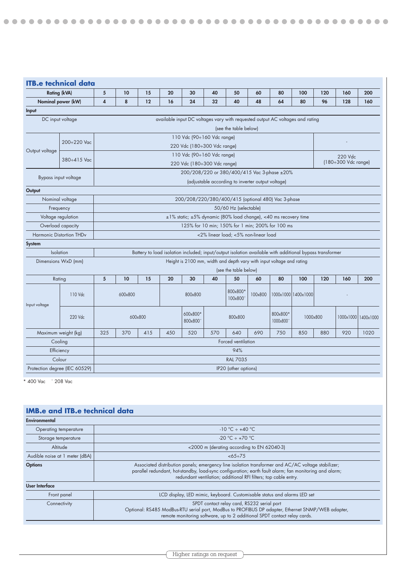|                | <b>ITB.e technical data</b>           |                         |                                                                                                                     |         |     |                             |     |                                                                       |         |                      |                                                                                                         |     |         |                     |  |
|----------------|---------------------------------------|-------------------------|---------------------------------------------------------------------------------------------------------------------|---------|-----|-----------------------------|-----|-----------------------------------------------------------------------|---------|----------------------|---------------------------------------------------------------------------------------------------------|-----|---------|---------------------|--|
|                | <b>Rating (kVA)</b>                   | 5                       | 10                                                                                                                  | 15      | 20  | 30                          | 40  | 50                                                                    | 60      | 80                   | 100                                                                                                     | 120 | 160     | 200                 |  |
|                | Nominal power (kW)                    | $\overline{\mathbf{4}}$ | 8                                                                                                                   | 12      | 16  | 24                          | 32  | 40                                                                    | 48      | 64                   | 80                                                                                                      | 96  | 128     | 160                 |  |
| Input          |                                       |                         |                                                                                                                     |         |     |                             |     |                                                                       |         |                      |                                                                                                         |     |         |                     |  |
|                | DC input voltage                      |                         |                                                                                                                     |         |     |                             |     |                                                                       |         |                      | available input DC voltages vary with requested output AC voltages and rating                           |     |         |                     |  |
|                |                                       |                         |                                                                                                                     |         |     |                             |     | (see the table below)                                                 |         |                      |                                                                                                         |     |         |                     |  |
|                | 200÷220 Vac                           |                         |                                                                                                                     |         |     | 110 Vdc (90÷160 Vdc range)  |     |                                                                       |         |                      |                                                                                                         |     |         |                     |  |
| Output voltage |                                       |                         |                                                                                                                     |         |     | 220 Vdc (180÷300 Vdc range) |     |                                                                       |         |                      |                                                                                                         |     |         |                     |  |
|                | 380÷415 Vac                           |                         |                                                                                                                     |         |     | 110 Vdc (90÷160 Vdc range)  |     |                                                                       |         |                      |                                                                                                         |     | 220 Vdc |                     |  |
|                |                                       |                         | (180÷300 Vdc range)<br>220 Vdc (180÷300 Vdc range)                                                                  |         |     |                             |     |                                                                       |         |                      |                                                                                                         |     |         |                     |  |
|                | Bypass input voltage                  |                         | 200/208/220 or 380/400/415 Vac 3-phase ±20%                                                                         |         |     |                             |     |                                                                       |         |                      |                                                                                                         |     |         |                     |  |
|                |                                       |                         | (adjustable according to inverter output voltage)                                                                   |         |     |                             |     |                                                                       |         |                      |                                                                                                         |     |         |                     |  |
| Output         |                                       |                         |                                                                                                                     |         |     |                             |     |                                                                       |         |                      |                                                                                                         |     |         |                     |  |
|                | Nominal voltage                       |                         |                                                                                                                     |         |     |                             |     | 200/208/220/380/400/415 (optional 480) Vac 3-phase                    |         |                      |                                                                                                         |     |         |                     |  |
|                | Frequency                             |                         | 50/60 Hz (selectable)                                                                                               |         |     |                             |     |                                                                       |         |                      |                                                                                                         |     |         |                     |  |
|                | Voltage regulation                    |                         | ±1% static; ±5% dynamic (80% load change), <40 ms recovery time<br>125% for 10 min; 150% for 1 min; 200% for 100 ms |         |     |                             |     |                                                                       |         |                      |                                                                                                         |     |         |                     |  |
|                | Overload capacity                     |                         |                                                                                                                     |         |     |                             |     |                                                                       |         |                      |                                                                                                         |     |         |                     |  |
|                | Harmonic Distortion THDv              |                         |                                                                                                                     |         |     |                             |     | <2% linear load; <5% non-linear load                                  |         |                      |                                                                                                         |     |         |                     |  |
| <b>System</b>  | Isolation                             |                         |                                                                                                                     |         |     |                             |     |                                                                       |         |                      |                                                                                                         |     |         |                     |  |
|                | Dimensions WxD (mm)                   |                         |                                                                                                                     |         |     |                             |     | Height is 2100 mm, width and depth vary with input voltage and rating |         |                      | Battery to load isolation included; input/output isolation available with additional bypass transformer |     |         |                     |  |
|                |                                       |                         |                                                                                                                     |         |     |                             |     | (see the table below)                                                 |         |                      |                                                                                                         |     |         |                     |  |
|                | Rating                                | $\sqrt{5}$              | 10                                                                                                                  | 15      | 20  | 30                          | 40  | 50                                                                    | 60      | 80                   | 100                                                                                                     | 120 | 160     | 200                 |  |
|                |                                       |                         |                                                                                                                     |         |     |                             |     |                                                                       |         |                      |                                                                                                         |     |         |                     |  |
|                | 110 Vdc                               |                         | 600x800                                                                                                             |         |     | 800x800                     |     | 800x800*<br>100x800                                                   | 100x800 |                      | 1000x1000 1400x1000                                                                                     |     |         |                     |  |
| Input voltage  | 220 Vdc                               |                         |                                                                                                                     | 600x800 |     | 600x800*<br>800x800         |     | 800x800                                                               |         | 800x800*<br>1000x800 | 1000x800                                                                                                |     |         | 1000x1000 1400x1000 |  |
|                |                                       |                         |                                                                                                                     |         |     |                             |     |                                                                       |         |                      |                                                                                                         |     |         |                     |  |
|                | Maximum weight (kg)                   | 325                     | 370                                                                                                                 | 415     | 450 | 520                         | 570 | 640                                                                   | 690     | 750                  | 850                                                                                                     | 880 | 920     | 1020                |  |
|                | Cooling                               |                         |                                                                                                                     |         |     |                             |     | Forced ventilation                                                    |         |                      |                                                                                                         |     |         |                     |  |
|                | Efficiency                            |                         |                                                                                                                     |         |     |                             |     | 94%                                                                   |         |                      |                                                                                                         |     |         |                     |  |
|                | Colour                                | <b>RAL 7035</b>         |                                                                                                                     |         |     |                             |     |                                                                       |         |                      |                                                                                                         |     |         |                     |  |
|                | Protection degree (IEC 60529)         | IP20 (other options)    |                                                                                                                     |         |     |                             |     |                                                                       |         |                      |                                                                                                         |     |         |                     |  |
| * 400 Vac      | <sup>"</sup> 208 Vac                  |                         |                                                                                                                     |         |     |                             |     |                                                                       |         |                      |                                                                                                         |     |         |                     |  |
|                |                                       |                         |                                                                                                                     |         |     |                             |     |                                                                       |         |                      |                                                                                                         |     |         |                     |  |
|                | <b>IMB.e and ITB.e technical data</b> |                         |                                                                                                                     |         |     |                             |     |                                                                       |         |                      |                                                                                                         |     |         |                     |  |
| Environmental  |                                       |                         |                                                                                                                     |         |     |                             |     |                                                                       |         |                      |                                                                                                         |     |         |                     |  |
|                | Operating temperature                 |                         |                                                                                                                     |         |     |                             |     | $-10 °C \div +40 °C$                                                  |         |                      |                                                                                                         |     |         |                     |  |

| Storage temperature            | $-20$ °C $\div$ +70 °C                                                                                                                                                                                                                                                          |
|--------------------------------|---------------------------------------------------------------------------------------------------------------------------------------------------------------------------------------------------------------------------------------------------------------------------------|
| Altitude                       | <2000 m (derating according to EN 62040-3)                                                                                                                                                                                                                                      |
| Audible noise at 1 meter (dBA) | $<65 \div 75$                                                                                                                                                                                                                                                                   |
| <b>Options</b>                 | Associated distribution panels; emergency line isolation transformer and AC/AC voltage stabilizer;<br>parallel redundant, hot-standby, load-sync configuration; earth fault alarm; fan monitoring and alarm;<br>redundant ventilation; additional RFI filters; top cable entry. |
| User Interface                 |                                                                                                                                                                                                                                                                                 |
| Front panel                    | LCD display, LED mimic, keyboard. Customisable status and alarms LED set                                                                                                                                                                                                        |
| Connectivity                   | SPDT contact relay card, RS232 serial port<br>Optional: RS485 ModBus-RTU serial port, ModBus to PROFIBUS DP adapter, Ethernet SNMP/WEB adapter,<br>remote monitoring software, up to 2 additional SPDT contact relay cards.                                                     |
|                                |                                                                                                                                                                                                                                                                                 |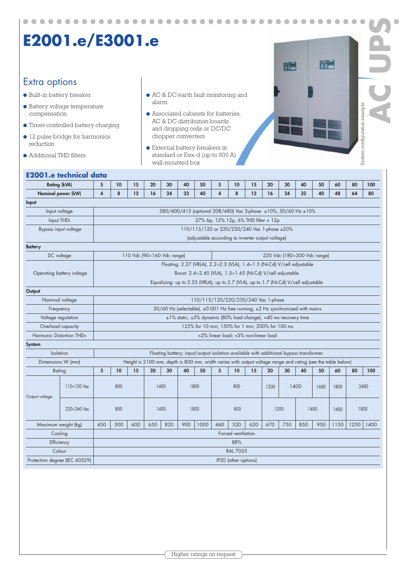# **E2001.e/E3001.e**

 $\bullet\bullet\bullet$ 

 $\bullet$  $\blacksquare$  $\bullet$  $\bullet$  $\bullet$  $\bullet$  $\sqrt{2}$ 

#### Extra options

● Built-in battery breaker

 $\bullet$ 

 $\bullet$  $\sqrt{2}$ 

- Battery voltage temperature compensation
- Timer-controlled battery charging
- 12 pulse bridge for harmonics reduction
- Additional THD filters
- AC & DC earth fault monitoring and alarm
- Associated cabinets for batteries, AC & DC distribution boards and dropping cells or DC/DC chopper converters
- External battery breakers in standard or Eex-d (up to 800 A) wall-mounted box

| 罡 | me. |                              |  |
|---|-----|------------------------------|--|
|   |     |                              |  |
|   |     |                              |  |
|   |     | System configuration example |  |
|   |     |                              |  |
|   |     |                              |  |

#### **E2001.e technical data**

|                | <b>Rating (kVA)</b>             | 5                       | 10                                                                                  | 15  | 20  | 30   | 40  | 50   | 5   | 10                                                                                     | 15  | 20   | 30  | 40   | 50                                                                                                          | 60   | 80   | 100  |
|----------------|---------------------------------|-------------------------|-------------------------------------------------------------------------------------|-----|-----|------|-----|------|-----|----------------------------------------------------------------------------------------|-----|------|-----|------|-------------------------------------------------------------------------------------------------------------|------|------|------|
|                | Nominal power (kW)              | $\overline{\mathbf{4}}$ | 8                                                                                   | 12  | 16  | 24   | 32  | 40   | 4   | 8                                                                                      | 12  | 16   | 24  | 32   | 40                                                                                                          | 48   | 64   | 80   |
| Input          |                                 |                         |                                                                                     |     |     |      |     |      |     |                                                                                        |     |      |     |      |                                                                                                             |      |      |      |
|                | Input voltage                   |                         |                                                                                     |     |     |      |     |      |     | 380/400/415 (optional 208/480) Vac 3-phase ±10%, 50/60 Hz ±10%                         |     |      |     |      |                                                                                                             |      |      |      |
|                | Input THDi                      |                         | 27% 6p, 12% 12p, 6% THD filter + 12p                                                |     |     |      |     |      |     |                                                                                        |     |      |     |      |                                                                                                             |      |      |      |
|                | Bypass input voltage            |                         |                                                                                     |     |     |      |     |      |     | 110/115/120 or 220/230/240 Vac 1-phase ±20%                                            |     |      |     |      |                                                                                                             |      |      |      |
|                |                                 |                         |                                                                                     |     |     |      |     |      |     | (adjustable according to inverter output voltage)                                      |     |      |     |      |                                                                                                             |      |      |      |
| <b>Battery</b> |                                 |                         |                                                                                     |     |     |      |     |      |     |                                                                                        |     |      |     |      |                                                                                                             |      |      |      |
|                | DC voltage                      |                         | 110 Vdc (90÷160 Vdc range)<br>220 Vdc (180÷300 Vdc range)                           |     |     |      |     |      |     |                                                                                        |     |      |     |      |                                                                                                             |      |      |      |
|                |                                 |                         | Floating: 2.27 (VRLA), 2.2÷2.3 (VLA), 1.4÷1.5 (Ni-Cd) V/cell adjustable             |     |     |      |     |      |     |                                                                                        |     |      |     |      |                                                                                                             |      |      |      |
|                | Operating battery voltage       |                         | Boost: 2.4÷2.45 (VLA), 1.5÷1.65 (Ni-Cd) V/cell adjustable                           |     |     |      |     |      |     |                                                                                        |     |      |     |      |                                                                                                             |      |      |      |
|                |                                 |                         | Equalizing: up to 2.35 (VRLA), up to 2.7 (VLA), up to 1.7 (Ni-Cd) V/cell adjustable |     |     |      |     |      |     |                                                                                        |     |      |     |      |                                                                                                             |      |      |      |
| Output         |                                 |                         |                                                                                     |     |     |      |     |      |     |                                                                                        |     |      |     |      |                                                                                                             |      |      |      |
|                | Nominal voltage                 |                         | 110/115/120/220/230/240 Vac 1-phase                                                 |     |     |      |     |      |     |                                                                                        |     |      |     |      |                                                                                                             |      |      |      |
|                | Frequency                       |                         | 50/60 Hz (selectable), ±0.001 Hz free running, ±2 Hz synchronized with mains        |     |     |      |     |      |     |                                                                                        |     |      |     |      |                                                                                                             |      |      |      |
|                | Voltage regulation              |                         |                                                                                     |     |     |      |     |      |     | ±1% static; ±5% dynamic (80% load change), <40 ms recovery time                        |     |      |     |      |                                                                                                             |      |      |      |
|                | Overload capacity               |                         |                                                                                     |     |     |      |     |      |     | 125% for 10 min; 150% for 1 min; 200% for 100 ms                                       |     |      |     |      |                                                                                                             |      |      |      |
|                | <b>Harmonic Distortion THDv</b> |                         |                                                                                     |     |     |      |     |      |     | <2% linear load; <5% non-linear load                                                   |     |      |     |      |                                                                                                             |      |      |      |
| <b>System</b>  |                                 |                         |                                                                                     |     |     |      |     |      |     |                                                                                        |     |      |     |      |                                                                                                             |      |      |      |
|                | <b>Isolation</b>                |                         |                                                                                     |     |     |      |     |      |     | Floating battery; input/output isolation available with additional bypass transformer. |     |      |     |      |                                                                                                             |      |      |      |
|                | Dimensions W (mm)               |                         |                                                                                     |     |     |      |     |      |     |                                                                                        |     |      |     |      | Height is 2100 mm, depth is 800 mm, width varies with output voltage range and rating (see the table below) |      |      |      |
|                | Rating                          | $5\phantom{.0}$         | 10                                                                                  | 15  | 20  | 30   | 40  | 50   | 5   | 10                                                                                     | 15  | 20   | 30  | 40   | 50                                                                                                          | 60   | 80   | 100  |
|                | 110÷120 Vac                     |                         | 800                                                                                 |     |     | 1400 |     | 1800 |     | 800                                                                                    |     | 1200 |     | 1400 | 1600                                                                                                        | 1800 |      | 2400 |
|                |                                 |                         |                                                                                     |     |     |      |     |      |     |                                                                                        |     |      |     |      |                                                                                                             |      |      |      |
| Output voltage |                                 |                         |                                                                                     |     |     |      |     |      |     |                                                                                        |     |      |     |      |                                                                                                             |      |      |      |
|                | 220÷240 Vac                     |                         | 800<br>1400<br>1800<br>800<br>1200<br>1400<br>1800<br>1600                          |     |     |      |     |      |     |                                                                                        |     |      |     |      |                                                                                                             |      |      |      |
|                |                                 |                         |                                                                                     |     |     |      |     |      |     |                                                                                        |     |      |     |      |                                                                                                             |      |      |      |
|                | Maximum weight (kg)             | 450                     | 500                                                                                 | 600 | 650 | 820  | 900 | 1000 | 460 | 520                                                                                    | 620 | 670  | 750 | 850  | 950                                                                                                         | 1150 | 1250 | 1400 |
|                | Cooling                         |                         |                                                                                     |     |     |      |     |      |     | Forced ventilation                                                                     |     |      |     |      |                                                                                                             |      |      |      |
|                | Efficiency                      |                         |                                                                                     |     |     |      |     |      |     | 88%                                                                                    |     |      |     |      |                                                                                                             |      |      |      |
|                | Colour                          |                         |                                                                                     |     |     |      |     |      |     | <b>RAL 7035</b>                                                                        |     |      |     |      |                                                                                                             |      |      |      |
|                | Protection degree (IEC 60529)   |                         |                                                                                     |     |     |      |     |      |     | IP20 (other options)                                                                   |     |      |     |      |                                                                                                             |      |      |      |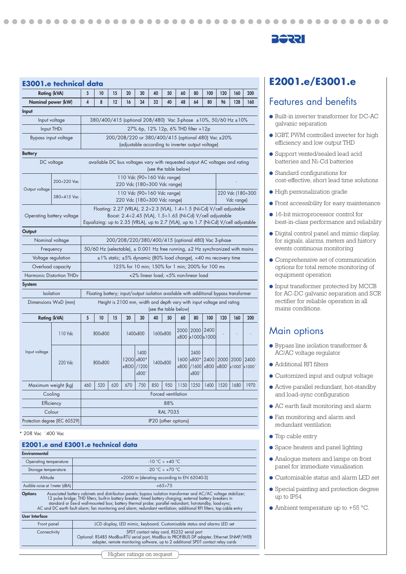

| <b>Rating (kVA)</b>           |                           | 5                                                                                                       | 10                                                                                                                                                                                                                          | 15                                                             | 20  | 30                                                        | 40  | 50                   | 60           | 80                                  | 100                           | 120  | 160                            | 200  |  |  |
|-------------------------------|---------------------------|---------------------------------------------------------------------------------------------------------|-----------------------------------------------------------------------------------------------------------------------------------------------------------------------------------------------------------------------------|----------------------------------------------------------------|-----|-----------------------------------------------------------|-----|----------------------|--------------|-------------------------------------|-------------------------------|------|--------------------------------|------|--|--|
| Nominal power (kW)            |                           | $\overline{\mathbf{4}}$                                                                                 | 8                                                                                                                                                                                                                           | 12                                                             | 16  | 24                                                        | 32  | 40                   | 48           | 64                                  | 80                            | 96   | 128                            | 160  |  |  |
| Input                         |                           |                                                                                                         |                                                                                                                                                                                                                             |                                                                |     |                                                           |     |                      |              |                                     |                               |      |                                |      |  |  |
|                               | Input voltage             |                                                                                                         |                                                                                                                                                                                                                             | 380/400/415 (optional 208/480) Vac 3-phase ±10%, 50/60 Hz ±10% |     |                                                           |     |                      |              |                                     |                               |      |                                |      |  |  |
|                               | Input THDi                |                                                                                                         |                                                                                                                                                                                                                             |                                                                |     |                                                           |     |                      |              | 27% 6p, 12% 12p, 6% THD filter +12p |                               |      |                                |      |  |  |
|                               | Bypass input voltage      | 200/208/220 or 380/400/415 (optional 480) Vac ±20%<br>(adjustable according to inverter output voltage) |                                                                                                                                                                                                                             |                                                                |     |                                                           |     |                      |              |                                     |                               |      |                                |      |  |  |
| <b>Battery</b>                |                           |                                                                                                         |                                                                                                                                                                                                                             |                                                                |     |                                                           |     |                      |              |                                     |                               |      |                                |      |  |  |
|                               | DC voltage                | available DC bus voltages vary with requested output AC voltages and rating<br>(see the table below)    |                                                                                                                                                                                                                             |                                                                |     |                                                           |     |                      |              |                                     |                               |      |                                |      |  |  |
|                               | 200÷220 Vac               |                                                                                                         | 110 Vdc (90÷160 Vdc range)<br>220 Vdc (180÷300 Vdc range)                                                                                                                                                                   |                                                                |     |                                                           |     |                      |              |                                     |                               |      |                                |      |  |  |
| Output voltage                | 380÷415 Vac               |                                                                                                         |                                                                                                                                                                                                                             |                                                                |     | 110 Vdc (90÷160 Vdc range)<br>220 Vdc (180÷300 Vdc range) |     |                      |              |                                     |                               |      | 220 Vdc (180÷300<br>Vdc range) |      |  |  |
|                               | Operating battery voltage |                                                                                                         | Floating: 2.27 (VRLA), 2.2÷2.3 (VLA), 1.4÷1.5 (Ni-Cd) V/cell adjustable<br>Boost: 2.4÷2.45 (VLA), 1.5÷1.65 (Ni-Cd) V/cell adjustable<br>Equalizing: up to 2.35 (VRLA), up to 2.7 (VLA), up to 1.7 (Ni-Cd) V/cell adjustable |                                                                |     |                                                           |     |                      |              |                                     |                               |      |                                |      |  |  |
| Output                        |                           |                                                                                                         |                                                                                                                                                                                                                             |                                                                |     |                                                           |     |                      |              |                                     |                               |      |                                |      |  |  |
|                               | Nominal voltage           | 200/208/220/380/400/415 (optional 480) Vac 3-phase                                                      |                                                                                                                                                                                                                             |                                                                |     |                                                           |     |                      |              |                                     |                               |      |                                |      |  |  |
|                               | Frequency                 | 50/60 Hz (selectable), ± 0.001 Hz free running, ±2 Hz synchronized with mains                           |                                                                                                                                                                                                                             |                                                                |     |                                                           |     |                      |              |                                     |                               |      |                                |      |  |  |
|                               | Voltage regulation        | $\pm 1\%$ static; $\pm 5\%$ dynamic (80% load change), <40 ms recovery time                             |                                                                                                                                                                                                                             |                                                                |     |                                                           |     |                      |              |                                     |                               |      |                                |      |  |  |
|                               | Overload capacity         | 125% for 10 min; 150% for 1 min; 200% for 100 ms                                                        |                                                                                                                                                                                                                             |                                                                |     |                                                           |     |                      |              |                                     |                               |      |                                |      |  |  |
|                               | Harmonic Distortion THDv  | <2% linear load; <5% non-linear load                                                                    |                                                                                                                                                                                                                             |                                                                |     |                                                           |     |                      |              |                                     |                               |      |                                |      |  |  |
| System                        |                           |                                                                                                         |                                                                                                                                                                                                                             |                                                                |     |                                                           |     |                      |              |                                     |                               |      |                                |      |  |  |
|                               | <b>Isolation</b>          | Floating battery; input/output isolation available with additional bypass transformer                   |                                                                                                                                                                                                                             |                                                                |     |                                                           |     |                      |              |                                     |                               |      |                                |      |  |  |
|                               | Dimensions WxD (mm)       | Height is 2100 mm, width and depth vary with input voltage and rating<br>(see the table below)          |                                                                                                                                                                                                                             |                                                                |     |                                                           |     |                      |              |                                     |                               |      |                                |      |  |  |
| <b>Rating (kVA)</b>           |                           | 5                                                                                                       | 10                                                                                                                                                                                                                          | 15                                                             | 20  | 30                                                        | 40  | 50                   | 60           | 80                                  | 100                           | 120  | 160                            | 200  |  |  |
|                               | 110 Vdc                   |                                                                                                         | 800×800                                                                                                                                                                                                                     |                                                                |     | 1400×800                                                  |     | 1600x800             | 2000         |                                     | 2000 2400<br>x800 x1000 x1000 |      |                                |      |  |  |
| Input voltage                 | 220 Vdc                   |                                                                                                         | 1400<br>2400<br>1200 x800*<br>1600 x800*<br>2400<br>800×800<br>1400×800<br>×800   / 1200<br>x800<br>/1600<br>x800<br>x800"<br>x800"                                                                                         |                                                                |     |                                                           |     |                      | x800" x1000" | 2000 2000                           | 12400<br>$\vert$ x1000"       |      |                                |      |  |  |
| Maximum weight (kg)           |                           | 460                                                                                                     | 520                                                                                                                                                                                                                         | 620                                                            | 670 | 750                                                       | 850 | 950                  | 1150         | 1250                                | 1400                          | 1520 | 1680                           | 1970 |  |  |
|                               | Cooling                   | Forced ventilation                                                                                      |                                                                                                                                                                                                                             |                                                                |     |                                                           |     |                      |              |                                     |                               |      |                                |      |  |  |
|                               | Efficiency                | 88%                                                                                                     |                                                                                                                                                                                                                             |                                                                |     |                                                           |     |                      |              |                                     |                               |      |                                |      |  |  |
|                               | Colour                    | <b>RAL 7035</b>                                                                                         |                                                                                                                                                                                                                             |                                                                |     |                                                           |     |                      |              |                                     |                               |      |                                |      |  |  |
| Protection degree (IEC 60529) |                           |                                                                                                         |                                                                                                                                                                                                                             |                                                                |     |                                                           |     | IP20 (other options) |              |                                     |                               |      |                                |      |  |  |

..........

 $\sim$ 

. . . . . .

#### \* 208 Vac ¨400 Vac

. . . . .

. . .

#### **E2001.e and E3001.e technical data**

| Environmental                                 |                                                                                                                                                                                                                                                                                                                                                                                                                                                                    |  |  |  |  |  |  |  |
|-----------------------------------------------|--------------------------------------------------------------------------------------------------------------------------------------------------------------------------------------------------------------------------------------------------------------------------------------------------------------------------------------------------------------------------------------------------------------------------------------------------------------------|--|--|--|--|--|--|--|
| $-10 °C \div +40 °C$<br>Operating temperature |                                                                                                                                                                                                                                                                                                                                                                                                                                                                    |  |  |  |  |  |  |  |
| Storage temperature                           | -20 °C $\div$ +70 °C                                                                                                                                                                                                                                                                                                                                                                                                                                               |  |  |  |  |  |  |  |
| Altitude                                      | <2000 m (derating according to EN 62040-3)                                                                                                                                                                                                                                                                                                                                                                                                                         |  |  |  |  |  |  |  |
| Audible noise at 1 meter (dBA)                | $<65 \div 75$                                                                                                                                                                                                                                                                                                                                                                                                                                                      |  |  |  |  |  |  |  |
| <b>Options</b>                                | Associated battery cabinets and distribution panels; bypass isolation transformer and AC/AC voltage stabilizer;<br>12 pulse bridge; THD filters; built-in battery breaker; timed battery charging; external battery breakers in<br>standard or Eex-d wall-mounted box; battery thermal probe; parallel redundant, hot-standby, load-sync;<br>AC and DC earth fault alarm; fan monitoring and alarm; redundant ventilation; additional RFI filters; top cable entry |  |  |  |  |  |  |  |
| <b>User Interface</b>                         |                                                                                                                                                                                                                                                                                                                                                                                                                                                                    |  |  |  |  |  |  |  |
| Front panel                                   | LCD display, LED mimic, keyboard. Customisable status and alarms LED set                                                                                                                                                                                                                                                                                                                                                                                           |  |  |  |  |  |  |  |
| Connectivity                                  | SPDT contact relay card, RS232 serial port<br>Optional: RS485 ModBus-RTU serial port, ModBus to PROFIBUS DP adapter, Ethernet SNMP/WEB<br>adapter, remote monitoring software, up to 2 additional SPDT contact relay cards                                                                                                                                                                                                                                         |  |  |  |  |  |  |  |
|                                               |                                                                                                                                                                                                                                                                                                                                                                                                                                                                    |  |  |  |  |  |  |  |

#### **E2001.e/E3001.e**

#### Features and benefits

● Built-in inverter transformer for DC-AC galvanic separation

. . . . .

 $\sqrt{2}$ 

- IGBT, PWM controlled inverter for high efficiency and low output THD
- Support vented/sealed lead acid batteries and Ni-Cd batteries
- Standard configurations for cost-effective, short lead time solutions
- High personalization grade
- Front accessibility for easy maintenance
- 16-bit microprocessor control for best-in-class performance and reliability
- Digital control panel and mimic display, for signals, alarms, meters and history events continuous monitoring
- Comprehensive set of communication options for total remote monitoring of equipment operation
- Input transformer protected by MCCB for AC-DC galvanic separation and SCR rectifier for reliable operation in all mains conditions.

#### Main options

- Bypass line isolation transformer & AC/AC voltage regulator
- Additional RFI filters
- Customized input and output voltage
- Active parallel redundant, hot-standby and load-sync configuration
- AC earth fault monitoring and alarm
- Fan monitoring and alarm and redundant ventilation
- Top cable entry

- Space heaters and panel lighting
- Analogue meters and lamps on front panel for immediate visualisation
- Customisable status and alarm LED set
- Special painting and protection degree up to IP54
- $\bullet$  Ambient temperature up to +55 °C.

Higher ratings on request